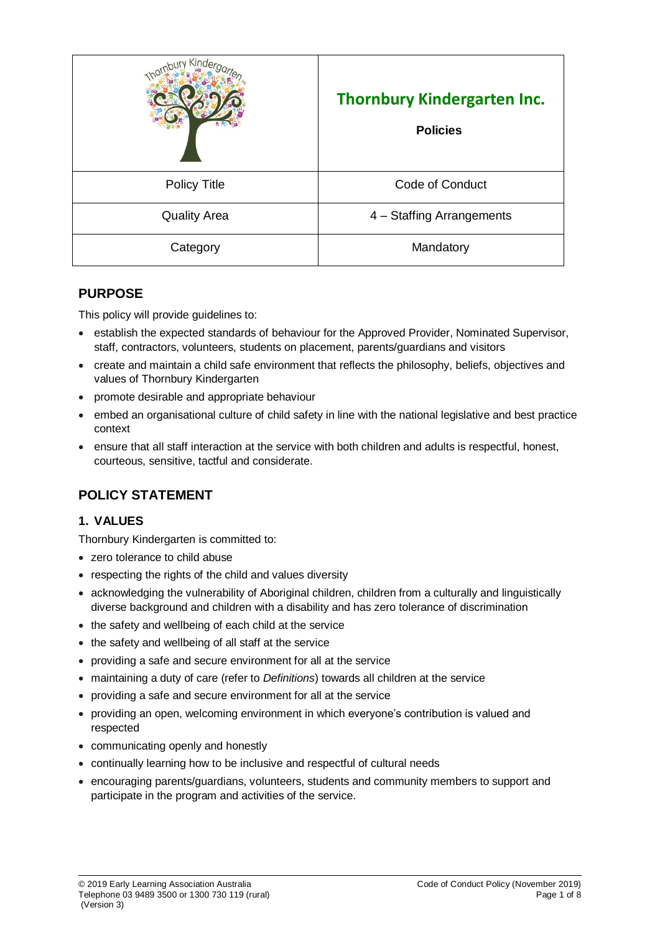|                     | <b>Thornbury Kindergarten Inc.</b><br><b>Policies</b> |
|---------------------|-------------------------------------------------------|
| <b>Policy Title</b> | Code of Conduct                                       |
| <b>Quality Area</b> | 4 - Staffing Arrangements                             |
| Category            | Mandatory                                             |

## **PURPOSE**

This policy will provide guidelines to:

- establish the expected standards of behaviour for the Approved Provider, Nominated Supervisor, staff, contractors, volunteers, students on placement, parents/guardians and visitors
- create and maintain a child safe environment that reflects the philosophy, beliefs, objectives and values of Thornbury Kindergarten
- promote desirable and appropriate behaviour
- embed an organisational culture of child safety in line with the national legislative and best practice context
- ensure that all staff interaction at the service with both children and adults is respectful, honest, courteous, sensitive, tactful and considerate.

# **POLICY STATEMENT**

## **1. VALUES**

Thornbury Kindergarten is committed to:

- zero tolerance to child abuse
- respecting the rights of the child and values diversity
- acknowledging the vulnerability of Aboriginal children, children from a culturally and linguistically diverse background and children with a disability and has zero tolerance of discrimination
- the safety and wellbeing of each child at the service
- the safety and wellbeing of all staff at the service
- providing a safe and secure environment for all at the service
- maintaining a duty of care (refer to *Definitions*) towards all children at the service
- providing a safe and secure environment for all at the service
- providing an open, welcoming environment in which everyone's contribution is valued and respected
- communicating openly and honestly
- continually learning how to be inclusive and respectful of cultural needs
- encouraging parents/guardians, volunteers, students and community members to support and participate in the program and activities of the service.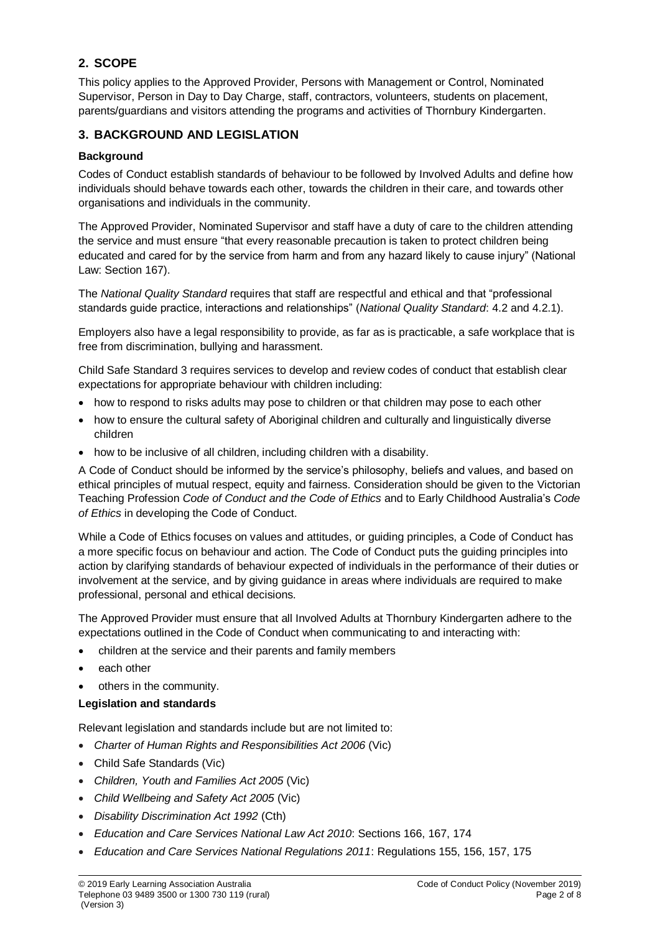## **2. SCOPE**

This policy applies to the Approved Provider, Persons with Management or Control, Nominated Supervisor, Person in Day to Day Charge, staff, contractors, volunteers, students on placement, parents/guardians and visitors attending the programs and activities of Thornbury Kindergarten.

## **3. BACKGROUND AND LEGISLATION**

#### **Background**

Codes of Conduct establish standards of behaviour to be followed by Involved Adults and define how individuals should behave towards each other, towards the children in their care, and towards other organisations and individuals in the community.

The Approved Provider, Nominated Supervisor and staff have a duty of care to the children attending the service and must ensure "that every reasonable precaution is taken to protect children being educated and cared for by the service from harm and from any hazard likely to cause injury" (National Law: Section 167).

The *National Quality Standard* requires that staff are respectful and ethical and that "professional standards guide practice, interactions and relationships" (*National Quality Standard*: 4.2 and 4.2.1).

Employers also have a legal responsibility to provide, as far as is practicable, a safe workplace that is free from discrimination, bullying and harassment.

Child Safe Standard 3 requires services to develop and review codes of conduct that establish clear expectations for appropriate behaviour with children including:

- how to respond to risks adults may pose to children or that children may pose to each other
- how to ensure the cultural safety of Aboriginal children and culturally and linguistically diverse children
- how to be inclusive of all children, including children with a disability.

A Code of Conduct should be informed by the service's philosophy, beliefs and values, and based on ethical principles of mutual respect, equity and fairness. Consideration should be given to the Victorian Teaching Profession *Code of Conduct and the Code of Ethics* and to Early Childhood Australia's *Code of Ethics* in developing the Code of Conduct.

While a Code of Ethics focuses on values and attitudes, or guiding principles, a Code of Conduct has a more specific focus on behaviour and action. The Code of Conduct puts the guiding principles into action by clarifying standards of behaviour expected of individuals in the performance of their duties or involvement at the service, and by giving guidance in areas where individuals are required to make professional, personal and ethical decisions.

The Approved Provider must ensure that all Involved Adults at Thornbury Kindergarten adhere to the expectations outlined in the Code of Conduct when communicating to and interacting with:

- children at the service and their parents and family members
- each other
- others in the community.

#### **Legislation and standards**

Relevant legislation and standards include but are not limited to:

- *[Charter of Human Rights and Responsibilities Act 2006](http://www.legislation.vic.gov.au/Domino/Web_Notes/LDMS/PubStatbook.nsf/f932b66241ecf1b7ca256e92000e23be/54d73763ef9dca36ca2571b6002428b0!OpenDocument)* (Vic)
- Child Safe Standards (Vic)
- *Children, Youth and Families Act 2005* (Vic)
- *Child Wellbeing and Safety Act 2005* (Vic)
- *Disability Discrimination Act 1992* (Cth)
- *Education and Care Services National Law Act 2010*: Sections 166, 167, 174
- *Education and Care Services National Regulations 2011*: Regulations 155, 156, 157, 175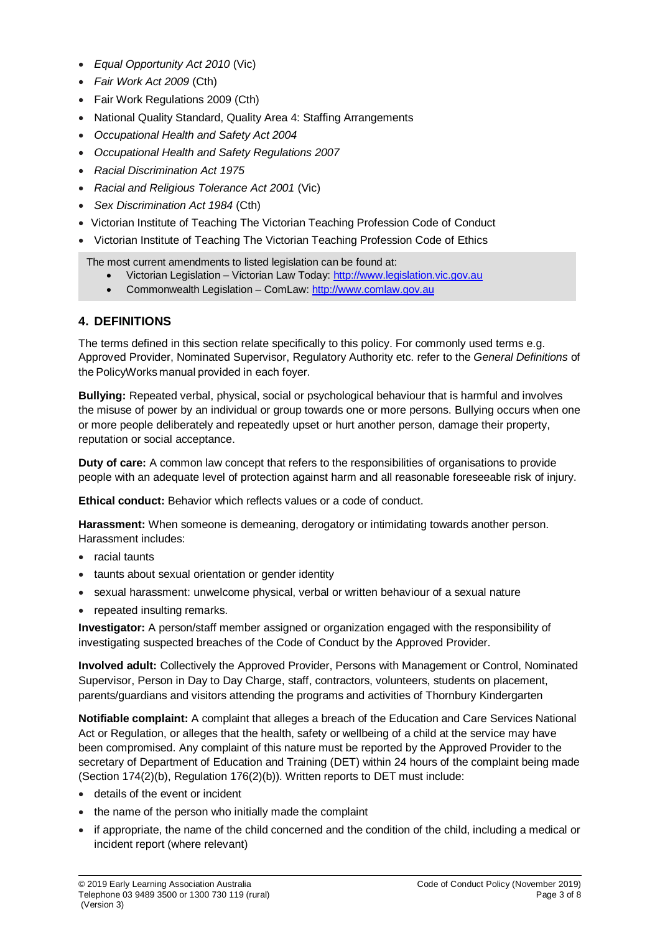- *Equal Opportunity Act 2010* (Vic)
- *Fair Work Act 2009* (Cth)
- Fair Work Regulations 2009 (Cth)
- National Quality Standard, Quality Area 4: Staffing Arrangements
- *Occupational Health and Safety Act 2004*
- *Occupational Health and Safety Regulations 2007*
- *Racial Discrimination Act 1975*
- *[Racial and Religious Tolerance Act 2001](http://www.legislation.vic.gov.au/Domino/Web_Notes/LDMS/PubLawToday.nsf/a12f6f60fbd56800ca256de500201e54/ab66aeef028f70e7ca2576400082797c%21OpenDocument)* (Vic)
- *Sex Discrimination Act 1984* (Cth)
- Victorian Institute of Teaching The Victorian Teaching Profession Code of Conduct
- Victorian Institute of Teaching The Victorian Teaching Profession Code of Ethics

The most current amendments to listed legislation can be found at:

- Victorian Legislation Victorian Law Today: [http://www.legislation.vic.gov.au](http://www.legislation.vic.gov.au/)
- Commonwealth Legislation ComLaw: [http://www.comlaw.gov.au](http://www.comlaw.gov.au/)

### **4. DEFINITIONS**

The terms defined in this section relate specifically to this policy. For commonly used terms e.g. Approved Provider, Nominated Supervisor, Regulatory Authority etc. refer to the *General Definitions* of the PolicyWorks manual provided in each foyer.

**Bullying:** Repeated verbal, physical, social or psychological behaviour that is harmful and involves the misuse of power by an individual or group towards one or more persons. Bullying occurs when one or more people deliberately and repeatedly upset or hurt another person, damage their property, reputation or social acceptance.

**Duty of care:** A common law concept that refers to the responsibilities of organisations to provide people with an adequate level of protection against harm and all reasonable foreseeable risk of injury.

**Ethical conduct:** Behavior which reflects values or a code of conduct.

**Harassment:** When someone is demeaning, derogatory or intimidating towards another person. Harassment includes:

- racial taunts
- taunts about sexual orientation or gender identity
- sexual harassment: unwelcome physical, verbal or written behaviour of a sexual nature
- repeated insulting remarks.

**Investigator:** A person/staff member assigned or organization engaged with the responsibility of investigating suspected breaches of the Code of Conduct by the Approved Provider.

**Involved adult:** Collectively the Approved Provider, Persons with Management or Control, Nominated Supervisor, Person in Day to Day Charge, staff, contractors, volunteers, students on placement, parents/guardians and visitors attending the programs and activities of Thornbury Kindergarten

**Notifiable complaint:** A complaint that alleges a breach of the Education and Care Services National Act or Regulation, or alleges that the health, safety or wellbeing of a child at the service may have been compromised. Any complaint of this nature must be reported by the Approved Provider to the secretary of Department of Education and Training (DET) within 24 hours of the complaint being made (Section 174(2)(b), Regulation 176(2)(b)). Written reports to DET must include:

- details of the event or incident
- the name of the person who initially made the complaint
- if appropriate, the name of the child concerned and the condition of the child, including a medical or incident report (where relevant)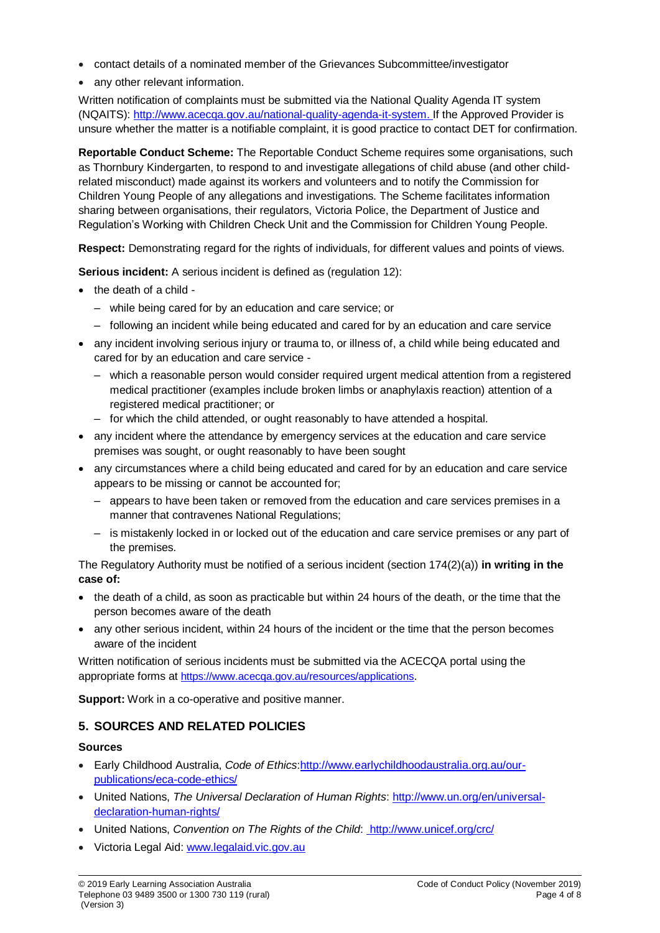- contact details of a nominated member of the Grievances Subcommittee/investigator
- any other relevant information.

Written notification of complaints must be submitted via the National Quality Agenda IT system (NQAITS): [http://www.acecqa.gov.au/national-quality-agenda-it-system.](http://www.acecqa.gov.au/national-quality-agenda-it-system) If the Approved Provider is unsure whether the matter is a notifiable complaint, it is good practice to contact DET for confirmation.

**Reportable Conduct Scheme:** The Reportable Conduct Scheme requires some organisations, such as Thornbury Kindergarten, to respond to and investigate allegations of child abuse (and other childrelated misconduct) made against its workers and volunteers and to notify the Commission for Children Young People of any allegations and investigations. The Scheme facilitates information sharing between organisations, their regulators, Victoria Police, the Department of Justice and Regulation's Working with Children Check Unit and the Commission for Children Young People.

**Respect:** Demonstrating regard for the rights of individuals, for different values and points of views.

**Serious incident:** A serious incident is defined as (regulation 12):

- the death of a child -
	- while being cared for by an education and care service; or
	- following an incident while being educated and cared for by an education and care service
- any incident involving serious injury or trauma to, or illness of, a child while being educated and cared for by an education and care service -
	- which a reasonable person would consider required urgent medical attention from a registered medical practitioner (examples include broken limbs or anaphylaxis reaction) attention of a registered medical practitioner; or
	- for which the child attended, or ought reasonably to have attended a hospital.
- any incident where the attendance by emergency services at the education and care service premises was sought, or ought reasonably to have been sought
- any circumstances where a child being educated and cared for by an education and care service appears to be missing or cannot be accounted for;
	- appears to have been taken or removed from the education and care services premises in a manner that contravenes National Regulations;
	- is mistakenly locked in or locked out of the education and care service premises or any part of the premises.

The Regulatory Authority must be notified of a serious incident (section 174(2)(a)) **in writing in the case of:**

- $\bullet$  the death of a child, as soon as practicable but within 24 hours of the death, or the time that the person becomes aware of the death
- any other serious incident, within 24 hours of the incident or the time that the person becomes aware of the incident

Written notification of serious incidents must be submitted via the ACECQA portal using the appropriate forms at <https://www.acecqa.gov.au/resources/applications>.

**Support:** Work in a co-operative and positive manner.

### **5. SOURCES AND RELATED POLICIES**

#### **Sources**

- Early Childhood Australia, *Code of Ethics*[:http://www.earlychildhoodaustralia.org.au/our](http://www.earlychildhoodaustralia.org.au/our-publications/eca-code-ethics/)[publications/eca-code-ethics/](http://www.earlychildhoodaustralia.org.au/our-publications/eca-code-ethics/)
- United Nations, *The Universal Declaration of Human Rights*: [http://www.un.org/en/universal](http://www.un.org/en/universal-declaration-human-rights/)[declaration-human-rights/](http://www.un.org/en/universal-declaration-human-rights/)
- United Nations, *Convention on The Rights of the Child*: <http://www.unicef.org/crc/>
- Victoria Legal Aid: [www.legalaid.vic.gov.au](http://www.legalaid.vic.gov.au/)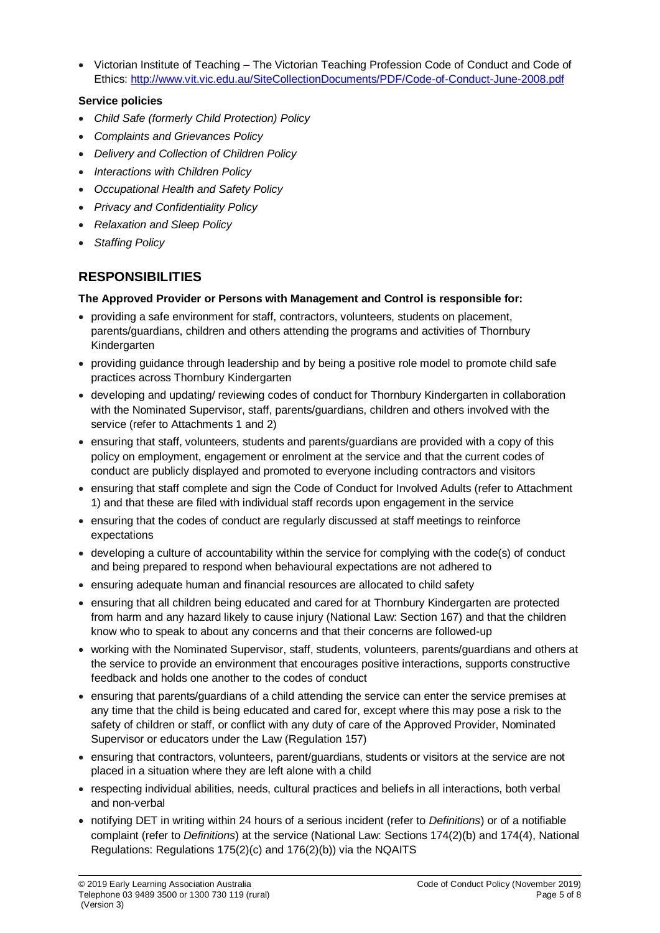• Victorian Institute of Teaching – The Victorian Teaching Profession Code of Conduct and Code of Ethics:<http://www.vit.vic.edu.au/SiteCollectionDocuments/PDF/Code-of-Conduct-June-2008.pdf>

#### **Service policies**

- *Child Safe (formerly Child Protection) Policy*
- *Complaints and Grievances Policy*
- *Delivery and Collection of Children Policy*
- *Interactions with Children Policy*
- *Occupational Health and Safety Policy*
- *Privacy and Confidentiality Policy*
- *Relaxation and Sleep Policy*
- *Staffing Policy*

## **RESPONSIBILITIES**

#### **The Approved Provider or Persons with Management and Control is responsible for:**

- providing a safe environment for staff, contractors, volunteers, students on placement, parents/guardians, children and others attending the programs and activities of Thornbury Kindergarten
- providing guidance through leadership and by being a positive role model to promote child safe practices across Thornbury Kindergarten
- developing and updating/ reviewing codes of conduct for Thornbury Kindergarten in collaboration with the Nominated Supervisor, staff, parents/guardians, children and others involved with the service (refer to Attachments 1 and 2)
- ensuring that staff, volunteers, students and parents/guardians are provided with a copy of this policy on employment, engagement or enrolment at the service and that the current codes of conduct are publicly displayed and promoted to everyone including contractors and visitors
- ensuring that staff complete and sign the Code of Conduct for Involved Adults (refer to Attachment 1) and that these are filed with individual staff records upon engagement in the service
- ensuring that the codes of conduct are regularly discussed at staff meetings to reinforce expectations
- developing a culture of accountability within the service for complying with the code(s) of conduct and being prepared to respond when behavioural expectations are not adhered to
- ensuring adequate human and financial resources are allocated to child safety
- ensuring that all children being educated and cared for at Thornbury Kindergarten are protected from harm and any hazard likely to cause injury (National Law: Section 167) and that the children know who to speak to about any concerns and that their concerns are followed-up
- working with the Nominated Supervisor, staff, students, volunteers, parents/guardians and others at the service to provide an environment that encourages positive interactions, supports constructive feedback and holds one another to the codes of conduct
- ensuring that parents/guardians of a child attending the service can enter the service premises at any time that the child is being educated and cared for, except where this may pose a risk to the safety of children or staff, or conflict with any duty of care of the Approved Provider, Nominated Supervisor or educators under the Law (Regulation 157)
- ensuring that contractors, volunteers, parent/guardians, students or visitors at the service are not placed in a situation where they are left alone with a child
- respecting individual abilities, needs, cultural practices and beliefs in all interactions, both verbal and non-verbal
- notifying DET in writing within 24 hours of a serious incident (refer to *Definitions*) or of a notifiable complaint (refer to *Definitions*) at the service (National Law: Sections 174(2)(b) and 174(4), National Regulations: Regulations 175(2)(c) and 176(2)(b)) via the NQAITS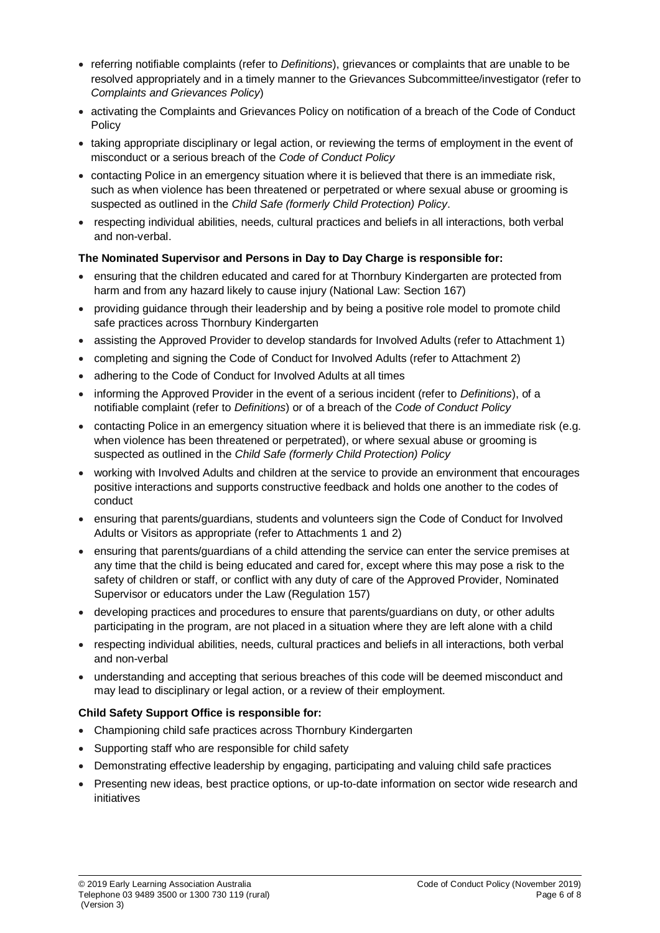- referring notifiable complaints (refer to *Definitions*), grievances or complaints that are unable to be resolved appropriately and in a timely manner to the Grievances Subcommittee/investigator (refer to *Complaints and Grievances Policy*)
- activating the Complaints and Grievances Policy on notification of a breach of the Code of Conduct Policy
- taking appropriate disciplinary or legal action, or reviewing the terms of employment in the event of misconduct or a serious breach of the *Code of Conduct Policy*
- contacting Police in an emergency situation where it is believed that there is an immediate risk, such as when violence has been threatened or perpetrated or where sexual abuse or grooming is suspected as outlined in the *Child Safe (formerly Child Protection) Policy*.
- respecting individual abilities, needs, cultural practices and beliefs in all interactions, both verbal and non-verbal.

#### **The Nominated Supervisor and Persons in Day to Day Charge is responsible for:**

- ensuring that the children educated and cared for at Thornbury Kindergarten are protected from harm and from any hazard likely to cause injury (National Law: Section 167)
- providing guidance through their leadership and by being a positive role model to promote child safe practices across Thornbury Kindergarten
- assisting the Approved Provider to develop standards for Involved Adults (refer to Attachment 1)
- completing and signing the Code of Conduct for Involved Adults (refer to Attachment 2)
- adhering to the Code of Conduct for Involved Adults at all times
- informing the Approved Provider in the event of a serious incident (refer to *Definitions*), of a notifiable complaint (refer to *Definitions*) or of a breach of the *Code of Conduct Policy*
- contacting Police in an emergency situation where it is believed that there is an immediate risk (e.g. when violence has been threatened or perpetrated), or where sexual abuse or grooming is suspected as outlined in the *Child Safe (formerly Child Protection) Policy*
- working with Involved Adults and children at the service to provide an environment that encourages positive interactions and supports constructive feedback and holds one another to the codes of conduct
- ensuring that parents/guardians, students and volunteers sign the Code of Conduct for Involved Adults or Visitors as appropriate (refer to Attachments 1 and 2)
- ensuring that parents/guardians of a child attending the service can enter the service premises at any time that the child is being educated and cared for, except where this may pose a risk to the safety of children or staff, or conflict with any duty of care of the Approved Provider, Nominated Supervisor or educators under the Law (Regulation 157)
- developing practices and procedures to ensure that parents/guardians on duty, or other adults participating in the program, are not placed in a situation where they are left alone with a child
- respecting individual abilities, needs, cultural practices and beliefs in all interactions, both verbal and non-verbal
- understanding and accepting that serious breaches of this code will be deemed misconduct and may lead to disciplinary or legal action, or a review of their employment.

#### **Child Safety Support Office is responsible for:**

- Championing child safe practices across Thornbury Kindergarten
- Supporting staff who are responsible for child safety
- Demonstrating effective leadership by engaging, participating and valuing child safe practices
- Presenting new ideas, best practice options, or up-to-date information on sector wide research and initiatives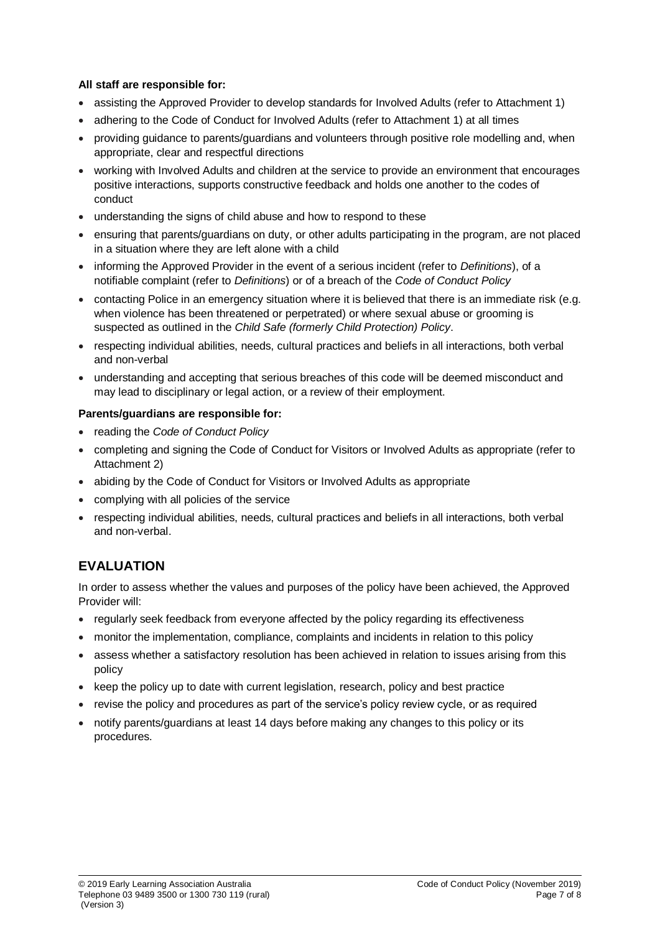#### **All staff are responsible for:**

- assisting the Approved Provider to develop standards for Involved Adults (refer to Attachment 1)
- adhering to the Code of Conduct for Involved Adults (refer to Attachment 1) at all times
- providing guidance to parents/guardians and volunteers through positive role modelling and, when appropriate, clear and respectful directions
- working with Involved Adults and children at the service to provide an environment that encourages positive interactions, supports constructive feedback and holds one another to the codes of conduct
- understanding the signs of child abuse and how to respond to these
- ensuring that parents/guardians on duty, or other adults participating in the program, are not placed in a situation where they are left alone with a child
- informing the Approved Provider in the event of a serious incident (refer to *Definitions*), of a notifiable complaint (refer to *Definitions*) or of a breach of the *Code of Conduct Policy*
- contacting Police in an emergency situation where it is believed that there is an immediate risk (e.g. when violence has been threatened or perpetrated) or where sexual abuse or grooming is suspected as outlined in the *Child Safe (formerly Child Protection) Policy*.
- respecting individual abilities, needs, cultural practices and beliefs in all interactions, both verbal and non-verbal
- understanding and accepting that serious breaches of this code will be deemed misconduct and may lead to disciplinary or legal action, or a review of their employment.

#### **Parents/guardians are responsible for:**

- reading the *Code of Conduct Policy*
- completing and signing the Code of Conduct for Visitors or Involved Adults as appropriate (refer to Attachment 2)
- abiding by the Code of Conduct for Visitors or Involved Adults as appropriate
- complying with all policies of the service
- respecting individual abilities, needs, cultural practices and beliefs in all interactions, both verbal and non-verbal.

## **EVALUATION**

In order to assess whether the values and purposes of the policy have been achieved, the Approved Provider will:

- regularly seek feedback from everyone affected by the policy regarding its effectiveness
- monitor the implementation, compliance, complaints and incidents in relation to this policy
- assess whether a satisfactory resolution has been achieved in relation to issues arising from this policy
- keep the policy up to date with current legislation, research, policy and best practice
- revise the policy and procedures as part of the service's policy review cycle, or as required
- notify parents/guardians at least 14 days before making any changes to this policy or its procedures.